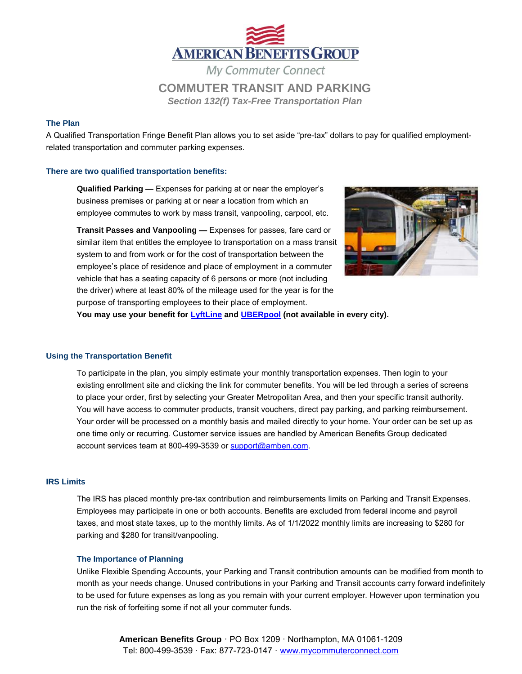

*Section 132(f) Tax-Free Transportation Plan*

# **The Plan**

A Qualified Transportation Fringe Benefit Plan allows you to set aside "pre-tax" dollars to pay for qualified employmentrelated transportation and commuter parking expenses.

# **There are two qualified transportation benefits:**

**Qualified Parking —** Expenses for parking at or near the employer's business premises or parking at or near a location from which an employee commutes to work by mass transit, vanpooling, carpool, etc.

**Transit Passes and Vanpooling —** Expenses for passes, fare card or similar item that entitles the employee to transportation on a mass transit system to and from work or for the cost of transportation between the employee's place of residence and place of employment in a commuter vehicle that has a seating capacity of 6 persons or more (not including the driver) where at least 80% of the mileage used for the year is for the purpose of transporting employees to their place of employment.



**You may use your benefit for [LyftLine](https://www.amben.com/demos/Commuter/ABG_MyCommuterConnect_Lyft_EE.pdf) an[d UBERpool](https://www.amben.com/demos/Commuter/ABG_MyCommuterConnect_uberPOOL_EE.pdf) (not available in every city).** 

#### **Using the Transportation Benefit**

To participate in the plan, you simply estimate your monthly transportation expenses. Then login to your existing enrollment site and clicking the link for commuter benefits. You will be led through a series of screens to place your order, first by selecting your Greater Metropolitan Area, and then your specific transit authority. You will have access to commuter products, transit vouchers, direct pay parking, and parking reimbursement. Your order will be processed on a monthly basis and mailed directly to your home. Your order can be set up as one time only or recurring. Customer service issues are handled by American Benefits Group dedicated account services team at 800-499-3539 or [support@amben.com.](mailto:support@amben.com)

### **IRS Limits**

The IRS has placed monthly pre-tax contribution and reimbursements limits on Parking and Transit Expenses. Employees may participate in one or both accounts. Benefits are excluded from federal income and payroll taxes, and most state taxes, up to the monthly limits. As of 1/1/2022 monthly limits are increasing to \$280 for parking and \$280 for transit/vanpooling.

#### **The Importance of Planning**

Unlike Flexible Spending Accounts, your Parking and Transit contribution amounts can be modified from month to month as your needs change. Unused contributions in your Parking and Transit accounts carry forward indefinitely to be used for future expenses as long as you remain with your current employer. However upon termination you run the risk of forfeiting some if not all your commuter funds.